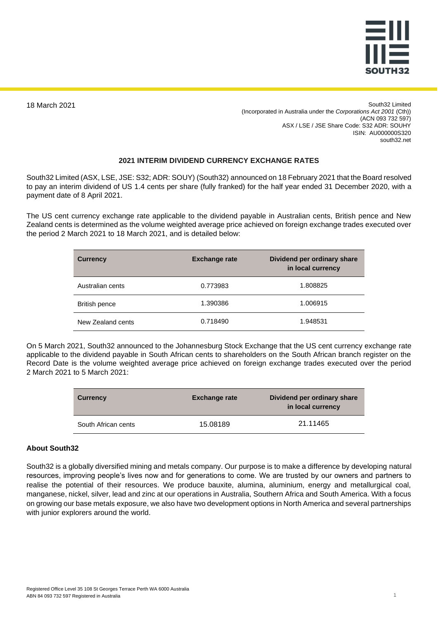

18 March 2021

South32 Limited (Incorporated in Australia under the *Corporations Act 2001* (Cth)) (ACN 093 732 597) ASX / LSE / JSE Share Code: S32 ADR: SOUHY ISIN: AU000000S320 south32.net

## **2021 INTERIM DIVIDEND CURRENCY EXCHANGE RATES**

South32 Limited (ASX, LSE, JSE: S32; ADR: SOUY) (South32) announced on 18 February 2021 that the Board resolved to pay an interim dividend of US 1.4 cents per share (fully franked) for the half year ended 31 December 2020, with a payment date of 8 April 2021.

The US cent currency exchange rate applicable to the dividend payable in Australian cents, British pence and New Zealand cents is determined as the volume weighted average price achieved on foreign exchange trades executed over the period 2 March 2021 to 18 March 2021, and is detailed below:

| <b>Currency</b>   | <b>Exchange rate</b> | Dividend per ordinary share<br>in local currency |
|-------------------|----------------------|--------------------------------------------------|
| Australian cents  | 0.773983             | 1.808825                                         |
| British pence     | 1.390386             | 1.006915                                         |
| New Zealand cents | 0.718490             | 1.948531                                         |

On 5 March 2021, South32 announced to the Johannesburg Stock Exchange that the US cent currency exchange rate applicable to the dividend payable in South African cents to shareholders on the South African branch register on the Record Date is the volume weighted average price achieved on foreign exchange trades executed over the period 2 March 2021 to 5 March 2021:

| <b>Currency</b>     | <b>Exchange rate</b> | Dividend per ordinary share<br>in local currency |
|---------------------|----------------------|--------------------------------------------------|
| South African cents | 15.08189             | 21.11465                                         |

## **About South32**

South32 is a globally diversified mining and metals company. Our purpose is to make a difference by developing natural resources, improving people's lives now and for generations to come. We are trusted by our owners and partners to realise the potential of their resources. We produce bauxite, alumina, aluminium, energy and metallurgical coal, manganese, nickel, silver, lead and zinc at our operations in Australia, Southern Africa and South America. With a focus on growing our base metals exposure, we also have two development options in North America and several partnerships with junior explorers around the world.